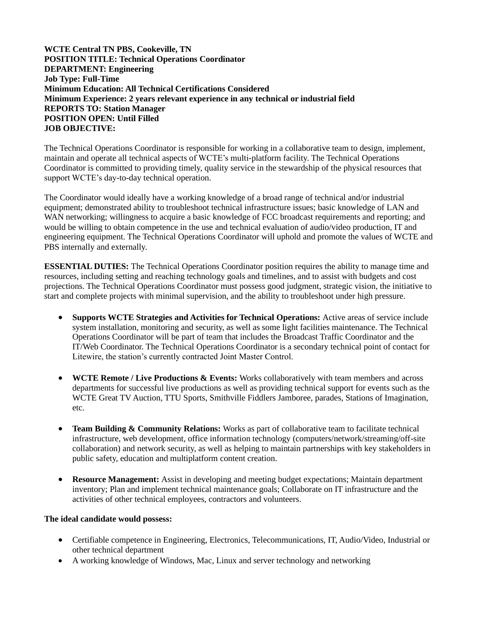**WCTE Central TN PBS, Cookeville, TN POSITION TITLE: Technical Operations Coordinator DEPARTMENT: Engineering Job Type: Full-Time Minimum Education: All Technical Certifications Considered Minimum Experience: 2 years relevant experience in any technical or industrial field REPORTS TO: Station Manager POSITION OPEN: Until Filled JOB OBJECTIVE:**

The Technical Operations Coordinator is responsible for working in a collaborative team to design, implement, maintain and operate all technical aspects of WCTE's multi-platform facility. The Technical Operations Coordinator is committed to providing timely, quality service in the stewardship of the physical resources that support WCTE's day-to-day technical operation.

The Coordinator would ideally have a working knowledge of a broad range of technical and/or industrial equipment; demonstrated ability to troubleshoot technical infrastructure issues; basic knowledge of LAN and WAN networking; willingness to acquire a basic knowledge of FCC broadcast requirements and reporting; and would be willing to obtain competence in the use and technical evaluation of audio/video production, IT and engineering equipment. The Technical Operations Coordinator will uphold and promote the values of WCTE and PBS internally and externally.

**ESSENTIAL DUTIES:** The Technical Operations Coordinator position requires the ability to manage time and resources, including setting and reaching technology goals and timelines, and to assist with budgets and cost projections. The Technical Operations Coordinator must possess good judgment, strategic vision, the initiative to start and complete projects with minimal supervision, and the ability to troubleshoot under high pressure.

- **Supports WCTE Strategies and Activities for Technical Operations:** Active areas of service include system installation, monitoring and security, as well as some light facilities maintenance. The Technical Operations Coordinator will be part of team that includes the Broadcast Traffic Coordinator and the IT/Web Coordinator. The Technical Operations Coordinator is a secondary technical point of contact for Litewire, the station's currently contracted Joint Master Control.
- **WCTE Remote / Live Productions & Events:** Works collaboratively with team members and across departments for successful live productions as well as providing technical support for events such as the WCTE Great TV Auction, TTU Sports, Smithville Fiddlers Jamboree, parades, Stations of Imagination, etc.
- **Team Building & Community Relations:** Works as part of collaborative team to facilitate technical infrastructure, web development, office information technology (computers/network/streaming/off-site collaboration) and network security, as well as helping to maintain partnerships with key stakeholders in public safety, education and multiplatform content creation.
- **Resource Management:** Assist in developing and meeting budget expectations; Maintain department inventory; Plan and implement technical maintenance goals; Collaborate on IT infrastructure and the activities of other technical employees, contractors and volunteers.

#### **The ideal candidate would possess:**

- Certifiable competence in Engineering, Electronics, Telecommunications, IT, Audio/Video, Industrial or other technical department
- A working knowledge of Windows, Mac, Linux and server technology and networking